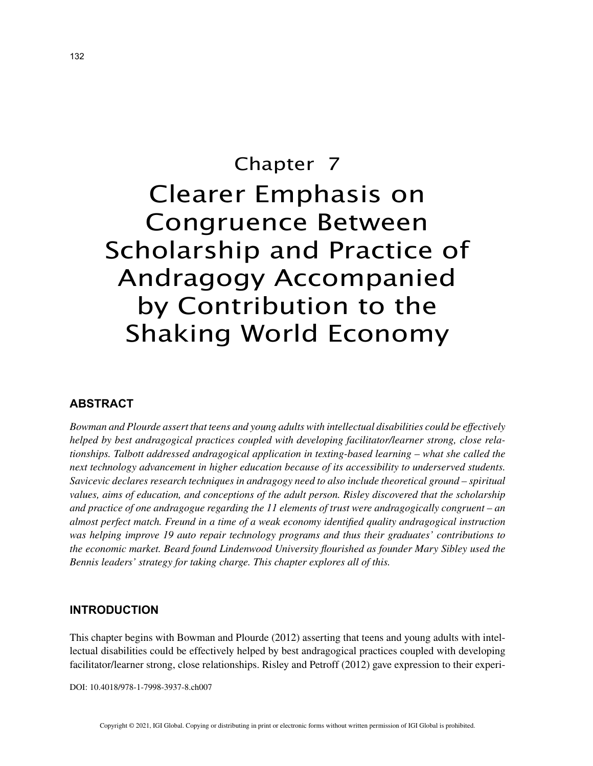# Chapter 7 Clearer Emphasis on Congruence Between Scholarship and Practice of Andragogy Accompanied by Contribution to the Shaking World Economy

## **ABSTRACT**

*Bowman and Plourde assert that teens and young adults with intellectual disabilities could be effectively helped by best andragogical practices coupled with developing facilitator/learner strong, close relationships. Talbott addressed andragogical application in texting-based learning – what she called the next technology advancement in higher education because of its accessibility to underserved students. Savicevic declares research techniques in andragogy need to also include theoretical ground – spiritual values, aims of education, and conceptions of the adult person. Risley discovered that the scholarship and practice of one andragogue regarding the 11 elements of trust were andragogically congruent – an almost perfect match. Freund in a time of a weak economy identified quality andragogical instruction was helping improve 19 auto repair technology programs and thus their graduates' contributions to the economic market. Beard found Lindenwood University flourished as founder Mary Sibley used the Bennis leaders' strategy for taking charge. This chapter explores all of this.*

### **INTRODUCTION**

This chapter begins with Bowman and Plourde (2012) asserting that teens and young adults with intellectual disabilities could be effectively helped by best andragogical practices coupled with developing facilitator/learner strong, close relationships. Risley and Petroff (2012) gave expression to their experi-

DOI: 10.4018/978-1-7998-3937-8.ch007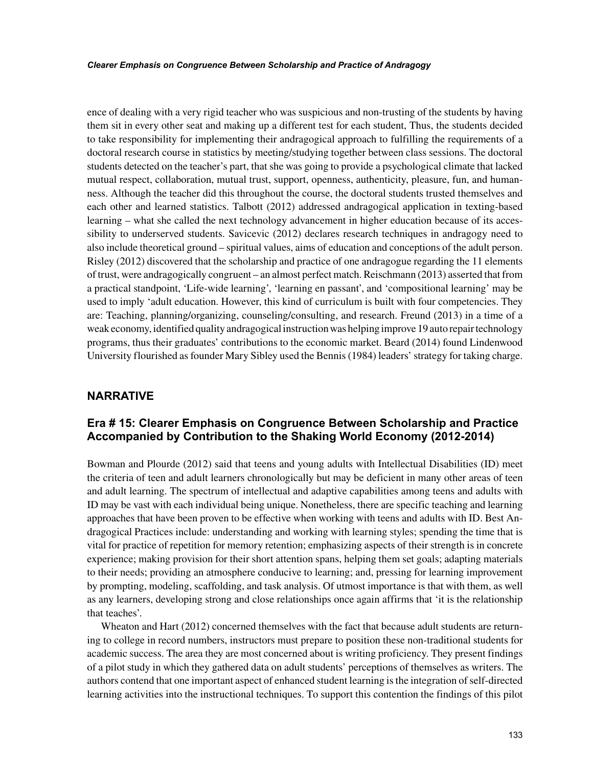ence of dealing with a very rigid teacher who was suspicious and non-trusting of the students by having them sit in every other seat and making up a different test for each student, Thus, the students decided to take responsibility for implementing their andragogical approach to fulfilling the requirements of a doctoral research course in statistics by meeting/studying together between class sessions. The doctoral students detected on the teacher's part, that she was going to provide a psychological climate that lacked mutual respect, collaboration, mutual trust, support, openness, authenticity, pleasure, fun, and humanness. Although the teacher did this throughout the course, the doctoral students trusted themselves and each other and learned statistics. Talbott (2012) addressed andragogical application in texting-based learning – what she called the next technology advancement in higher education because of its accessibility to underserved students. Savicevic (2012) declares research techniques in andragogy need to also include theoretical ground – spiritual values, aims of education and conceptions of the adult person. Risley (2012) discovered that the scholarship and practice of one andragogue regarding the 11 elements of trust, were andragogically congruent – an almost perfect match. Reischmann (2013) asserted that from a practical standpoint, 'Life-wide learning', 'learning en passant', and 'compositional learning' may be used to imply 'adult education. However, this kind of curriculum is built with four competencies. They are: Teaching, planning/organizing, counseling/consulting, and research. Freund (2013) in a time of a weak economy, identified quality andragogical instruction was helping improve 19 auto repair technology programs, thus their graduates' contributions to the economic market. Beard (2014) found Lindenwood University flourished as founder Mary Sibley used the Bennis (1984) leaders' strategy for taking charge.

## **NARRATIVE**

## **Era # 15: Clearer Emphasis on Congruence Between Scholarship and Practice Accompanied by Contribution to the Shaking World Economy (2012-2014)**

Bowman and Plourde (2012) said that teens and young adults with Intellectual Disabilities (ID) meet the criteria of teen and adult learners chronologically but may be deficient in many other areas of teen and adult learning. The spectrum of intellectual and adaptive capabilities among teens and adults with ID may be vast with each individual being unique. Nonetheless, there are specific teaching and learning approaches that have been proven to be effective when working with teens and adults with ID. Best Andragogical Practices include: understanding and working with learning styles; spending the time that is vital for practice of repetition for memory retention; emphasizing aspects of their strength is in concrete experience; making provision for their short attention spans, helping them set goals; adapting materials to their needs; providing an atmosphere conducive to learning; and, pressing for learning improvement by prompting, modeling, scaffolding, and task analysis. Of utmost importance is that with them, as well as any learners, developing strong and close relationships once again affirms that 'it is the relationship that teaches'.

Wheaton and Hart (2012) concerned themselves with the fact that because adult students are returning to college in record numbers, instructors must prepare to position these non-traditional students for academic success. The area they are most concerned about is writing proficiency. They present findings of a pilot study in which they gathered data on adult students' perceptions of themselves as writers. The authors contend that one important aspect of enhanced student learning is the integration of self-directed learning activities into the instructional techniques. To support this contention the findings of this pilot